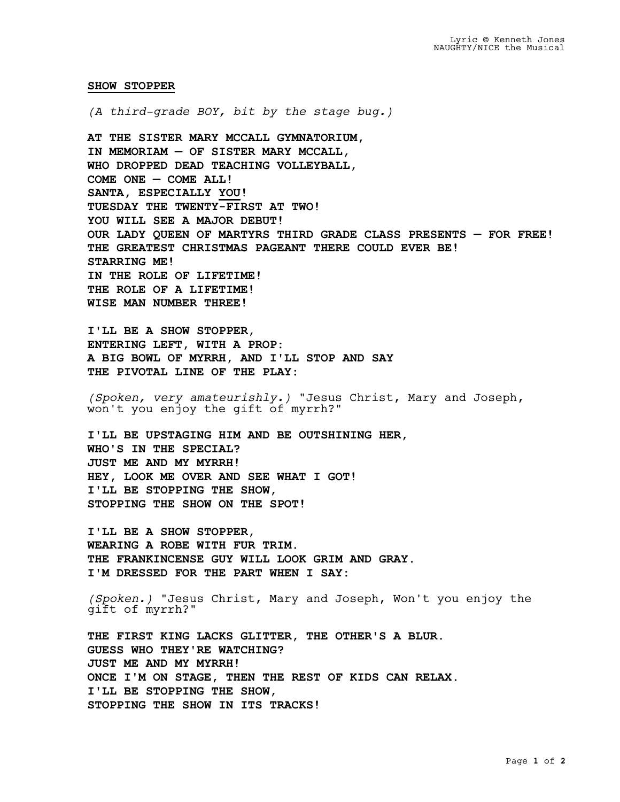## **SHOW STOPPER**

*(A third-grade BOY, bit by the stage bug.)*

**AT THE SISTER MARY MCCALL GYMNATORIUM, IN MEMORIAM — OF SISTER MARY MCCALL, WHO DROPPED DEAD TEACHING VOLLEYBALL, COME ONE — COME ALL! SANTA, ESPECIALLY YOU! TUESDAY THE TWENTY-FIRST AT TWO! YOU WILL SEE A MAJOR DEBUT! OUR LADY QUEEN OF MARTYRS THIRD GRADE CLASS PRESENTS — FOR FREE! THE GREATEST CHRISTMAS PAGEANT THERE COULD EVER BE! STARRING ME! IN THE ROLE OF LIFETIME! THE ROLE OF A LIFETIME! WISE MAN NUMBER THREE!**

**I'LL BE A SHOW STOPPER, ENTERING LEFT, WITH A PROP: A BIG BOWL OF MYRRH, AND I'LL STOP AND SAY THE PIVOTAL LINE OF THE PLAY:**

*(Spoken, very amateurishly.)* "Jesus Christ, Mary and Joseph, won't you enjoy the gift of myrrh?"

**I'LL BE UPSTAGING HIM AND BE OUTSHINING HER, WHO'S IN THE SPECIAL? JUST ME AND MY MYRRH! HEY, LOOK ME OVER AND SEE WHAT I GOT! I'LL BE STOPPING THE SHOW, STOPPING THE SHOW ON THE SPOT!**

**I'LL BE A SHOW STOPPER, WEARING A ROBE WITH FUR TRIM. THE FRANKINCENSE GUY WILL LOOK GRIM AND GRAY. I'M DRESSED FOR THE PART WHEN I SAY:**

*(Spoken.)* "Jesus Christ, Mary and Joseph, Won't you enjoy the gift of myrrh?"

**THE FIRST KING LACKS GLITTER, THE OTHER'S A BLUR. GUESS WHO THEY'RE WATCHING? JUST ME AND MY MYRRH! ONCE I'M ON STAGE, THEN THE REST OF KIDS CAN RELAX. I'LL BE STOPPING THE SHOW, STOPPING THE SHOW IN ITS TRACKS!**